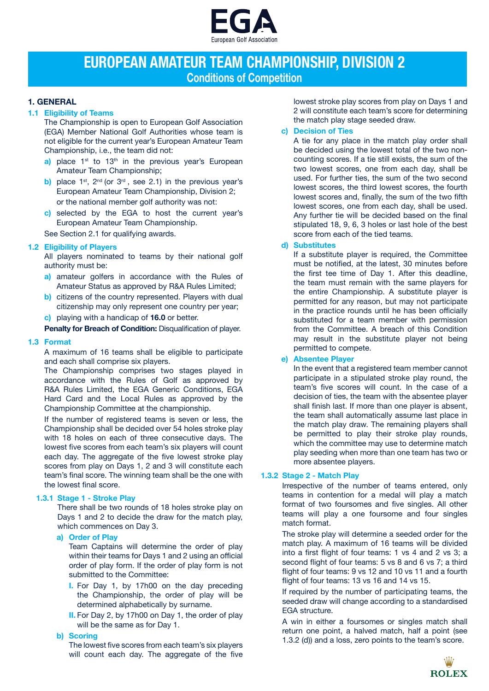

## **EUROPEAN AMATEUR TEAM CHAMPIONSHIP, DIVISION 2 Conditions of Competition**

## **1. GENERAL**

## **1.1 Eligibility of Teams**

The Championship is open to European Golf Association (EGA) Member National Golf Authorities whose team is not eligible for the current year's European Amateur Team Championship, i.e., the team did not:

- a) place 1<sup>st</sup> to 13<sup>th</sup> in the previous year's European Amateur Team Championship;
- **b)** place 1<sup>st</sup>, 2<sup>nd</sup> (or 3<sup>rd</sup>, see 2.1) in the previous year's European Amateur Team Championship, Division 2; or the national member golf authority was not:
- **c)** selected by the EGA to host the current year's European Amateur Team Championship.

See Section 2.1 for qualifying awards.

## **1.2 Eligibility of Players**

All players nominated to teams by their national golf authority must be:

- **a)** amateur golfers in accordance with the Rules of Amateur Status as approved by R&A Rules Limited;
- **b)** citizens of the country represented. Players with dual citizenship may only represent one country per year; **c)** playing with a handicap of **16.0** or better.

**Penalty for Breach of Condition: Disqualification of player.** 

## **1.3 Format**

A maximum of 16 teams shall be eligible to participate and each shall comprise six players.

The Championship comprises two stages played in accordance with the Rules of Golf as approved by R&A Rules Limited, the EGA Generic Conditions, EGA Hard Card and the Local Rules as approved by the Championship Committee at the championship.

If the number of registered teams is seven or less, the Championship shall be decided over 54 holes stroke play with 18 holes on each of three consecutive days. The lowest five scores from each team's six players will count each day. The aggregate of the five lowest stroke play scores from play on Days 1, 2 and 3 will constitute each team's final score. The winning team shall be the one with the lowest final score.

## **1.3.1 Stage 1 - Stroke Play**

There shall be two rounds of 18 holes stroke play on Days 1 and 2 to decide the draw for the match play, which commences on Day 3.

### **a) Order of Play**

Team Captains will determine the order of play within their teams for Days 1 and 2 using an official order of play form. If the order of play form is not submitted to the Committee:

- **I.** For Day 1, by 17h00 on the day preceding the Championship, the order of play will be determined alphabetically by surname.
- **II.** For Day 2, by 17h00 on Day 1, the order of play will be the same as for Day 1.

## **b) Scoring**

The lowest five scores from each team's six players will count each day. The aggregate of the five

lowest stroke play scores from play on Days 1 and 2 will constitute each team's score for determining the match play stage seeded draw.

## **c) Decision of Ties**

A tie for any place in the match play order shall be decided using the lowest total of the two noncounting scores. If a tie still exists, the sum of the two lowest scores, one from each day, shall be used. For further ties, the sum of the two second lowest scores, the third lowest scores, the fourth lowest scores and, finally, the sum of the two fifth lowest scores, one from each day, shall be used. Any further tie will be decided based on the final stipulated 18, 9, 6, 3 holes or last hole of the best score from each of the tied teams.

## **d) Substitutes**

If a substitute player is required, the Committee must be notified, at the latest, 30 minutes before the first tee time of Day 1. After this deadline, the team must remain with the same players for the entire Championship. A substitute player is permitted for any reason, but may not participate in the practice rounds until he has been officially substituted for a team member with permission from the Committee. A breach of this Condition may result in the substitute player not being permitted to compete.

**e) Absentee Player**

In the event that a registered team member cannot participate in a stipulated stroke play round, the team's five scores will count. In the case of a decision of ties, the team with the absentee player shall finish last. If more than one player is absent, the team shall automatically assume last place in the match play draw. The remaining players shall be permitted to play their stroke play rounds, which the committee may use to determine match play seeding when more than one team has two or more absentee players.

## **1.3.2 Stage 2 - Match Play**

Irrespective of the number of teams entered, only teams in contention for a medal will play a match format of two foursomes and five singles. All other teams will play a one foursome and four singles match format.

The stroke play will determine a seeded order for the match play. A maximum of 16 teams will be divided into a first flight of four teams: 1 vs 4 and 2 vs 3; a second flight of four teams: 5 vs 8 and 6 vs 7; a third flight of four teams: 9 vs 12 and 10 vs 11 and a fourth flight of four teams: 13 vs 16 and 14 vs 15.

If required by the number of participating teams, the seeded draw will change according to a standardised EGA structure.

A win in either a foursomes or singles match shall return one point, a halved match, half a point (see 1.3.2 (d)) and a loss, zero points to the team's score.

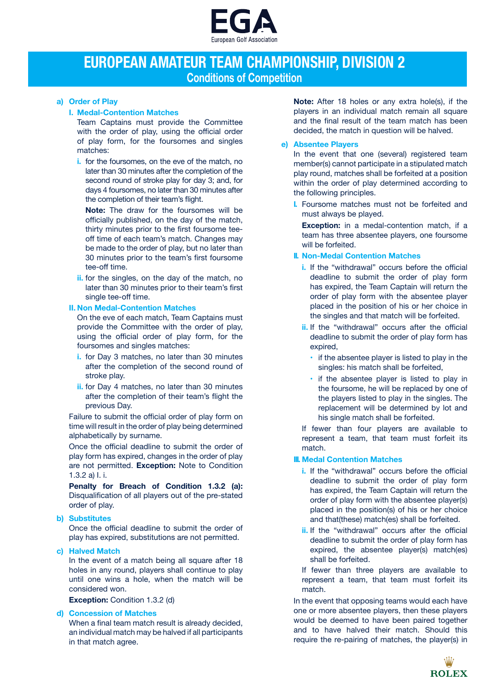

## **EUROPEAN AMATEUR TEAM CHAMPIONSHIP, DIVISION 2 Conditions of Competition**

## **a) Order of Play**

**I. Medal-Contention Matches**

Team Captains must provide the Committee with the order of play, using the official order of play form, for the foursomes and singles matches:

**i.** for the foursomes, on the eve of the match, no later than 30 minutes after the completion of the second round of stroke play for day 3; and, for days 4 foursomes, no later than 30 minutes after the completion of their team's flight.

**Note:** The draw for the foursomes will be officially published, on the day of the match, thirty minutes prior to the first foursome teeoff time of each team's match. Changes may be made to the order of play, but no later than 30 minutes prior to the team's first foursome tee-off time.

**ii.** for the singles, on the day of the match, no later than 30 minutes prior to their team's first single tee-off time.

## **II. Non Medal-Contention Matches**

On the eve of each match, Team Captains must provide the Committee with the order of play, using the official order of play form, for the foursomes and singles matches:

- **i.** for Day 3 matches, no later than 30 minutes after the completion of the second round of stroke play.
- **ii.** for Day 4 matches, no later than 30 minutes after the completion of their team's flight the previous Day.

Failure to submit the official order of play form on time will result in the order of play being determined alphabetically by surname.

Once the official deadline to submit the order of play form has expired, changes in the order of play are not permitted. **Exception:** Note to Condition 1.3.2 a) I. i.

**Penalty for Breach of Condition 1.3.2 (a):**  Disqualification of all players out of the pre-stated order of play.

## **b) Substitutes**

Once the official deadline to submit the order of play has expired, substitutions are not permitted.

## **c) Halved Match**

In the event of a match being all square after 18 holes in any round, players shall continue to play until one wins a hole, when the match will be considered won.

**Exception:** Condition 1.3.2 (d)

## **d) Concession of Matches**

When a final team match result is already decided, an individual match may be halved if all participants in that match agree.

**Note:** After 18 holes or any extra hole(s), if the players in an individual match remain all square and the final result of the team match has been decided, the match in question will be halved.

## **e) Absentee Players**

In the event that one (several) registered team member(s) cannot participate in a stipulated match play round, matches shall be forfeited at a position within the order of play determined according to the following principles.

**I.** Foursome matches must not be forfeited and must always be played.

**Exception:** in a medal-contention match, if a team has three absentee players, one foursome will be forfeited.

## **II. Non-Medal Contention Matches**

- **i.** If the "withdrawal" occurs before the official deadline to submit the order of play form has expired, the Team Captain will return the order of play form with the absentee player placed in the position of his or her choice in the singles and that match will be forfeited.
- **ii.** If the "withdrawal" occurs after the official deadline to submit the order of play form has expired,
	- **•**  if the absentee player is listed to play in the singles: his match shall be forfeited,
	- if the absentee player is listed to play in the foursome, he will be replaced by one of the players listed to play in the singles. The replacement will be determined by lot and his single match shall be forfeited.

If fewer than four players are available to represent a team, that team must forfeit its match.

## **III. Medal Contention Matches**

- **i.** If the "withdrawal" occurs before the official deadline to submit the order of play form has expired, the Team Captain will return the order of play form with the absentee player(s) placed in the position(s) of his or her choice and that(these) match(es) shall be forfeited.
- **ii.** If the "withdrawal" occurs after the official deadline to submit the order of play form has expired, the absentee player(s) match(es) shall be forfeited.
- If fewer than three players are available to represent a team, that team must forfeit its match.

In the event that opposing teams would each have one or more absentee players, then these players would be deemed to have been paired together and to have halved their match. Should this require the re‐pairing of matches, the player(s) in

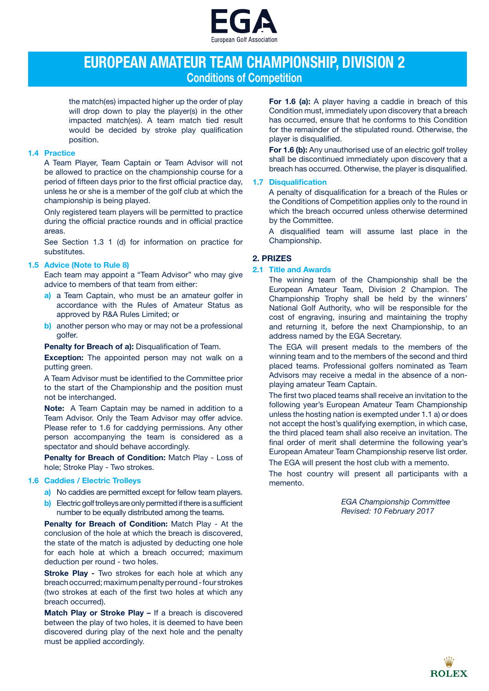

# **EUROPEAN AMATEUR TEAM CHAMPIONSHIP, DIVISION 2 Conditions of Competition**

the match(es) impacted higher up the order of play will drop down to play the player(s) in the other impacted match(es). A team match tied result would be decided by stroke play qualification position.

### **1.4 Practice**

A Team Player, Team Captain or Team Advisor will not be allowed to practice on the championship course for a period of fifteen days prior to the first official practice day, unless he or she is a member of the golf club at which the championship is being played.

Only registered team players will be permitted to practice during the official practice rounds and in official practice areas.

See Section 1.3 1 (d) for information on practice for substitutes.

## **1.5 Advice (Note to Rule 8)**

Each team may appoint a "Team Advisor" who may give advice to members of that team from either:

- **a)** a Team Captain, who must be an amateur golfer in accordance with the Rules of Amateur Status as approved by R&A Rules Limited; or
- **b)** another person who may or may not be a professional golfer.

**Penalty for Breach of a):** Disqualification of Team.

**Exception:** The appointed person may not walk on a putting green.

A Team Advisor must be identified to the Committee prior to the start of the Championship and the position must not be interchanged.

**Note:**A Team Captain may be named in addition to a Team Advisor. Only the Team Advisor may offer advice. Please refer to 1.6 for caddying permissions. Any other person accompanying the team is considered as a spectator and should behave accordingly.

**Penalty for Breach of Condition:** Match Play - Loss of hole; Stroke Play - Two strokes.

#### **1.6 Caddies / Electric Trolleys**

- **a)** No caddies are permitted except for fellow team players.
- **b)** Electric golf trolleys are only permitted if there is a sufficient number to be equally distributed among the teams.

**Penalty for Breach of Condition:** Match Play - At the conclusion of the hole at which the breach is discovered, the state of the match is adjusted by deducting one hole for each hole at which a breach occurred; maximum deduction per round - two holes.

**Stroke Play** *-* Two strokes for each hole at which any breach occurred; maximum penalty per round - four strokes (two strokes at each of the first two holes at which any breach occurred).

**Match Play or Stroke Play** *–* If a breach is discovered between the play of two holes, it is deemed to have been discovered during play of the next hole and the penalty must be applied accordingly.

**For 1.6 (a):** A player having a caddie in breach of this Condition must, immediately upon discovery that a breach has occurred, ensure that he conforms to this Condition for the remainder of the stipulated round. Otherwise, the player is disqualified.

**For 1.6 (b):** Any unauthorised use of an electric golf trolley shall be discontinued immediately upon discovery that a breach has occurred. Otherwise, the player is disqualified.

#### **1.7 Disqualification**

A penalty of disqualification for a breach of the Rules or the Conditions of Competition applies only to the round in which the breach occurred unless otherwise determined by the Committee.

A disqualified team will assume last place in the Championship.

## **2. PRIZES**

#### **2.1 Title and Awards**

The winning team of the Championship shall be the European Amateur Team, Division 2 Champion. The Championship Trophy shall be held by the winners' National Golf Authority, who will be responsible for the cost of engraving, insuring and maintaining the trophy and returning it, before the next Championship, to an address named by the EGA Secretary.

The EGA will present medals to the members of the winning team and to the members of the second and third placed teams. Professional golfers nominated as Team Advisors may receive a medal in the absence of a nonplaying amateur Team Captain.

The first two placed teams shall receive an invitation to the following year's European Amateur Team Championship unless the hosting nation is exempted under 1.1 a) or does not accept the host's qualifying exemption, in which case, the third placed team shall also receive an invitation. The final order of merit shall determine the following year's European Amateur Team Championship reserve list order. The EGA will present the host club with a memento.

The host country will present all participants with a memento.

> *EGA Championship Committee Revised: 10 February 2017*